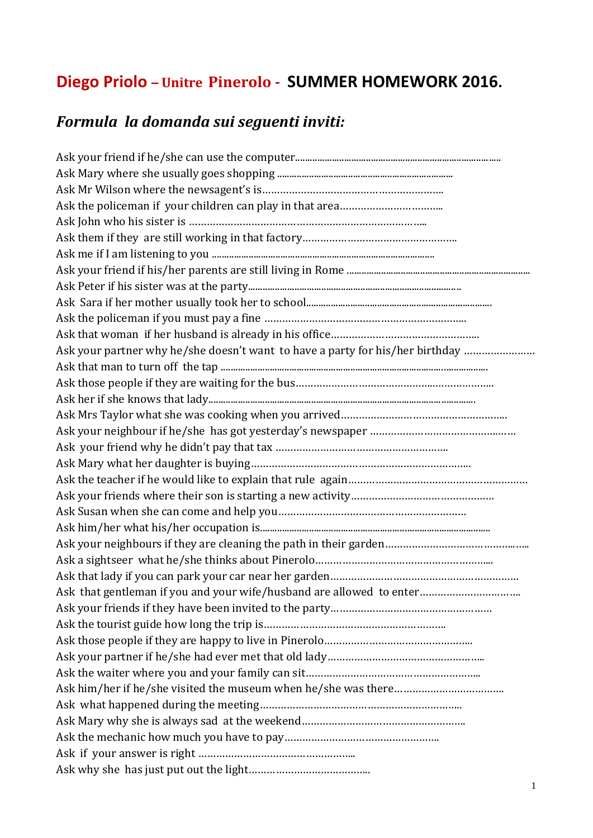# **Diego Priolo – Unitre Pinerolo - SUMMER HOMEWORK 2016.**

## *Formula la domanda sui seguenti inviti:*

| Ask your partner why he/she doesn't want to have a party for his/her birthday |
|-------------------------------------------------------------------------------|
|                                                                               |
|                                                                               |
|                                                                               |
|                                                                               |
|                                                                               |
|                                                                               |
|                                                                               |
|                                                                               |
|                                                                               |
|                                                                               |
|                                                                               |
|                                                                               |
|                                                                               |
|                                                                               |
| Ask that gentleman if you and your wife/husband are allowed to enter          |
|                                                                               |
|                                                                               |
|                                                                               |
|                                                                               |
|                                                                               |
|                                                                               |
|                                                                               |
|                                                                               |
|                                                                               |
|                                                                               |
|                                                                               |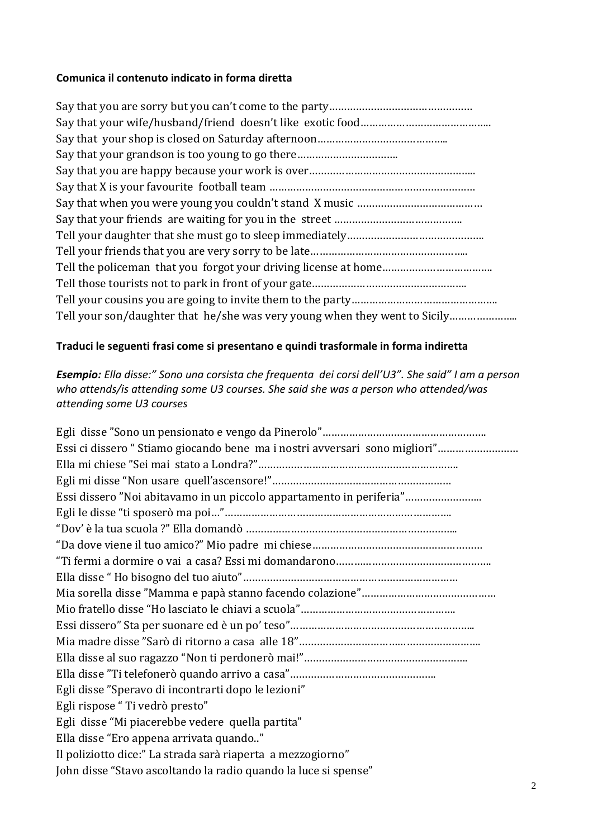#### **Comunica il contenuto indicato in forma diretta**

| Say that your grandson is too young to go there                            |
|----------------------------------------------------------------------------|
|                                                                            |
|                                                                            |
|                                                                            |
|                                                                            |
|                                                                            |
|                                                                            |
|                                                                            |
|                                                                            |
|                                                                            |
| Tell your son/daughter that he/she was very young when they went to Sicily |

#### **Traduci le seguenti frasi come si presentano e quindi trasformale in forma indiretta**

*Esempio: Ella disse:" Sono una corsista che frequenta dei corsi dell'U3". She said" I am a person who attends/is attending some U3 courses. She said she was a person who attended/was attending some U3 courses*

| Essi ci dissero "Stiamo giocando bene ma i nostri avversari sono migliori" |
|----------------------------------------------------------------------------|
|                                                                            |
|                                                                            |
| Essi dissero "Noi abitavamo in un piccolo appartamento in periferia"       |
|                                                                            |
|                                                                            |
|                                                                            |
|                                                                            |
|                                                                            |
|                                                                            |
|                                                                            |
|                                                                            |
|                                                                            |
|                                                                            |
|                                                                            |
| Egli disse "Speravo di incontrarti dopo le lezioni"                        |
| Egli rispose "Ti vedrò presto"                                             |
| Egli disse "Mi piacerebbe vedere quella partita"                           |
| Ella disse "Ero appena arrivata quando"                                    |
| Il poliziotto dice:" La strada sarà riaperta a mezzogiorno"                |
| John disse "Stavo ascoltando la radio quando la luce si spense"            |